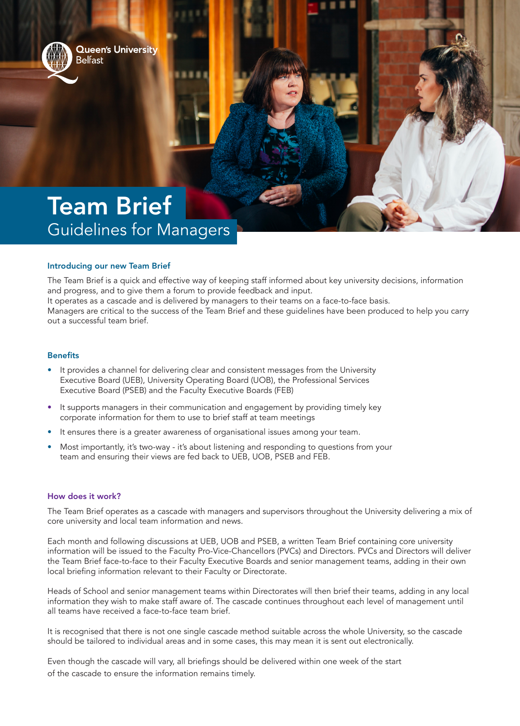

**Queen's University** Belfast

# Team Brief Guidelines for Managers

# Introducing our new Team Brief

The Team Brief is a quick and effective way of keeping staff informed about key university decisions, information and progress, and to give them a forum to provide feedback and input. It operates as a cascade and is delivered by managers to their teams on a face-to-face basis. Managers are critical to the success of the Team Brief and these guidelines have been produced to help you carry out a successful team brief.

# **Benefits**

- It provides a channel for delivering clear and consistent messages from the University Executive Board (UEB), University Operating Board (UOB), the Professional Services Executive Board (PSEB) and the Faculty Executive Boards (FEB)
- It supports managers in their communication and engagement by providing timely key corporate information for them to use to brief staff at team meetings
- It ensures there is a greater awareness of organisational issues among your team.
- Most importantly, it's two-way it's about listening and responding to questions from your team and ensuring their views are fed back to UEB, UOB, PSEB and FEB.

### How does it work?

The Team Brief operates as a cascade with managers and supervisors throughout the University delivering a mix of core university and local team information and news.

Each month and following discussions at UEB, UOB and PSEB, a written Team Brief containing core university information will be issued to the Faculty Pro-Vice-Chancellors (PVCs) and Directors. PVCs and Directors will deliver the Team Brief face-to-face to their Faculty Executive Boards and senior management teams, adding in their own local briefing information relevant to their Faculty or Directorate.

Heads of School and senior management teams within Directorates will then brief their teams, adding in any local information they wish to make staff aware of. The cascade continues throughout each level of management until all teams have received a face-to-face team brief.

It is recognised that there is not one single cascade method suitable across the whole University, so the cascade should be tailored to individual areas and in some cases, this may mean it is sent out electronically.

Even though the cascade will vary, all briefings should be delivered within one week of the start of the cascade to ensure the information remains timely.